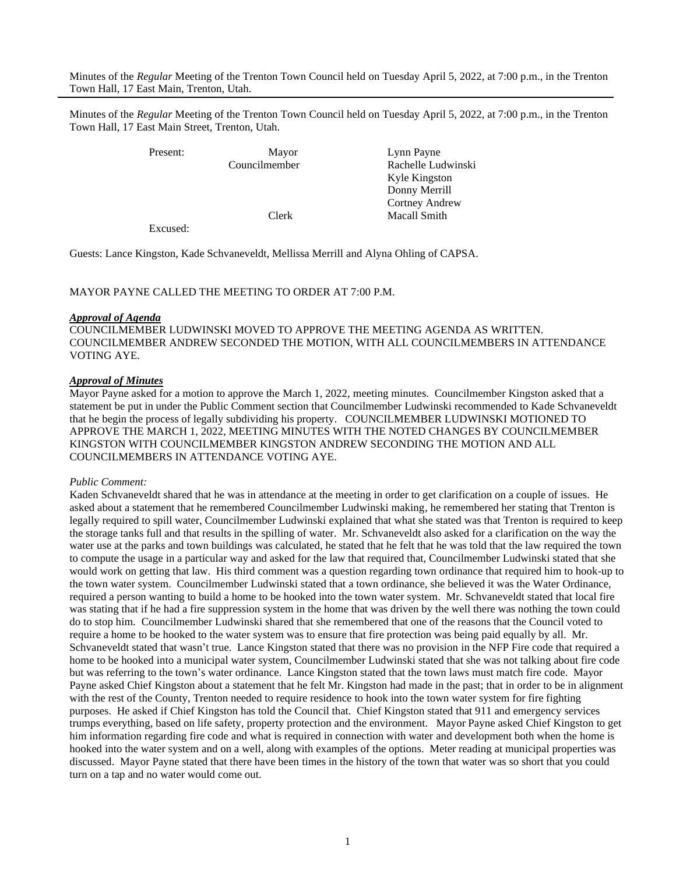Minutes of the *Regular* Meeting of the Trenton Town Council held on Tuesday April 5, 2022, at 7:00 p.m., in the Trenton Town Hall, 17 East Main, Trenton, Utah.

Minutes of the *Regular* Meeting of the Trenton Town Council held on Tuesday April 5, 2022, at 7:00 p.m., in the Trenton Town Hall, 17 East Main Street, Trenton, Utah.

Present: Mayor Lynn Payne Councilmember Rachelle Ludwinski Kyle Kingston Donny Merrill Cortney Andrew Clerk Macall Smith

Excused:

Guests: Lance Kingston, Kade Schvaneveldt, Mellissa Merrill and Alyna Ohling of CAPSA.

#### MAYOR PAYNE CALLED THE MEETING TO ORDER AT 7:00 P.M.

#### *Approval of Agenda*

COUNCILMEMBER LUDWINSKI MOVED TO APPROVE THE MEETING AGENDA AS WRITTEN. COUNCILMEMBER ANDREW SECONDED THE MOTION, WITH ALL COUNCILMEMBERS IN ATTENDANCE VOTING AYE.

#### *Approval of Minutes*

Mayor Payne asked for a motion to approve the March 1, 2022, meeting minutes. Councilmember Kingston asked that a statement be put in under the Public Comment section that Councilmember Ludwinski recommended to Kade Schvaneveldt that he begin the process of legally subdividing his property. COUNCILMEMBER LUDWINSKI MOTIONED TO APPROVE THE MARCH 1, 2022, MEETING MINUTES WITH THE NOTED CHANGES BY COUNCILMEMBER KINGSTON WITH COUNCILMEMBER KINGSTON ANDREW SECONDING THE MOTION AND ALL COUNCILMEMBERS IN ATTENDANCE VOTING AYE.

#### *Public Comment:*

Kaden Schvaneveldt shared that he was in attendance at the meeting in order to get clarification on a couple of issues. He asked about a statement that he remembered Councilmember Ludwinski making, he remembered her stating that Trenton is legally required to spill water, Councilmember Ludwinski explained that what she stated was that Trenton is required to keep the storage tanks full and that results in the spilling of water. Mr. Schvaneveldt also asked for a clarification on the way the water use at the parks and town buildings was calculated, he stated that he felt that he was told that the law required the town to compute the usage in a particular way and asked for the law that required that, Councilmember Ludwinski stated that she would work on getting that law. His third comment was a question regarding town ordinance that required him to hook-up to the town water system. Councilmember Ludwinski stated that a town ordinance, she believed it was the Water Ordinance, required a person wanting to build a home to be hooked into the town water system. Mr. Schvaneveldt stated that local fire was stating that if he had a fire suppression system in the home that was driven by the well there was nothing the town could do to stop him. Councilmember Ludwinski shared that she remembered that one of the reasons that the Council voted to require a home to be hooked to the water system was to ensure that fire protection was being paid equally by all. Mr. Schvaneveldt stated that wasn't true. Lance Kingston stated that there was no provision in the NFP Fire code that required a home to be hooked into a municipal water system, Councilmember Ludwinski stated that she was not talking about fire code but was referring to the town's water ordinance. Lance Kingston stated that the town laws must match fire code. Mayor Payne asked Chief Kingston about a statement that he felt Mr. Kingston had made in the past; that in order to be in alignment with the rest of the County, Trenton needed to require residence to hook into the town water system for fire fighting purposes. He asked if Chief Kingston has told the Council that. Chief Kingston stated that 911 and emergency services trumps everything, based on life safety, property protection and the environment. Mayor Payne asked Chief Kingston to get him information regarding fire code and what is required in connection with water and development both when the home is hooked into the water system and on a well, along with examples of the options. Meter reading at municipal properties was discussed. Mayor Payne stated that there have been times in the history of the town that water was so short that you could turn on a tap and no water would come out.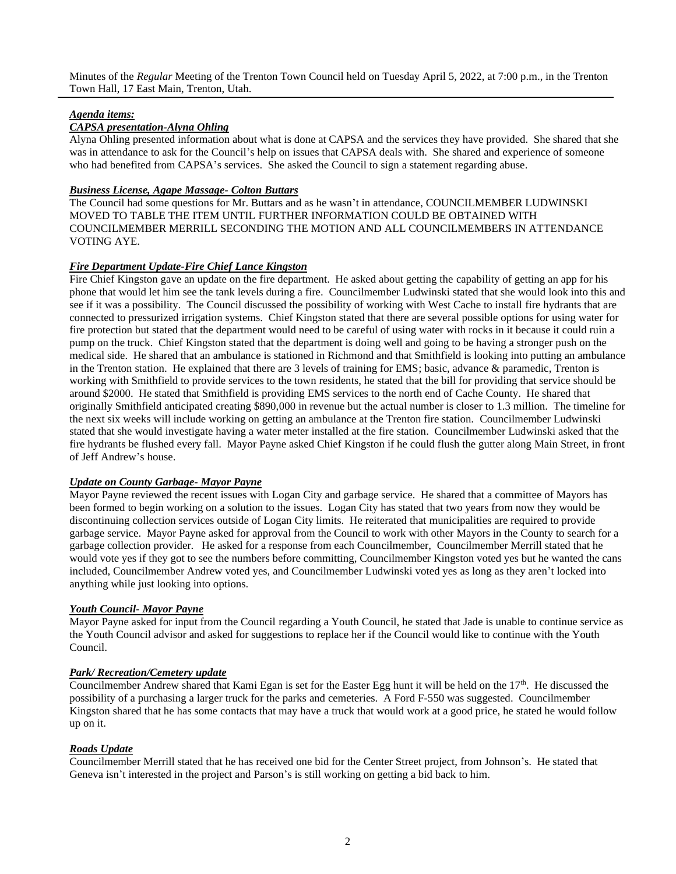Minutes of the *Regular* Meeting of the Trenton Town Council held on Tuesday April 5, 2022, at 7:00 p.m., in the Trenton Town Hall, 17 East Main, Trenton, Utah.

# *Agenda items:*

# *CAPSA presentation-Alyna Ohling*

Alyna Ohling presented information about what is done at CAPSA and the services they have provided. She shared that she was in attendance to ask for the Council's help on issues that CAPSA deals with. She shared and experience of someone who had benefited from CAPSA's services. She asked the Council to sign a statement regarding abuse.

# *Business License, Agape Massage- Colton Buttars*

The Council had some questions for Mr. Buttars and as he wasn't in attendance, COUNCILMEMBER LUDWINSKI MOVED TO TABLE THE ITEM UNTIL FURTHER INFORMATION COULD BE OBTAINED WITH COUNCILMEMBER MERRILL SECONDING THE MOTION AND ALL COUNCILMEMBERS IN ATTENDANCE VOTING AYE.

# *Fire Department Update-Fire Chief Lance Kingston*

Fire Chief Kingston gave an update on the fire department. He asked about getting the capability of getting an app for his phone that would let him see the tank levels during a fire. Councilmember Ludwinski stated that she would look into this and see if it was a possibility. The Council discussed the possibility of working with West Cache to install fire hydrants that are connected to pressurized irrigation systems. Chief Kingston stated that there are several possible options for using water for fire protection but stated that the department would need to be careful of using water with rocks in it because it could ruin a pump on the truck. Chief Kingston stated that the department is doing well and going to be having a stronger push on the medical side. He shared that an ambulance is stationed in Richmond and that Smithfield is looking into putting an ambulance in the Trenton station. He explained that there are 3 levels of training for EMS; basic, advance & paramedic, Trenton is working with Smithfield to provide services to the town residents, he stated that the bill for providing that service should be around \$2000. He stated that Smithfield is providing EMS services to the north end of Cache County. He shared that originally Smithfield anticipated creating \$890,000 in revenue but the actual number is closer to 1.3 million. The timeline for the next six weeks will include working on getting an ambulance at the Trenton fire station. Councilmember Ludwinski stated that she would investigate having a water meter installed at the fire station. Councilmember Ludwinski asked that the fire hydrants be flushed every fall. Mayor Payne asked Chief Kingston if he could flush the gutter along Main Street, in front of Jeff Andrew's house.

# *Update on County Garbage- Mayor Payne*

Mayor Payne reviewed the recent issues with Logan City and garbage service. He shared that a committee of Mayors has been formed to begin working on a solution to the issues. Logan City has stated that two years from now they would be discontinuing collection services outside of Logan City limits. He reiterated that municipalities are required to provide garbage service. Mayor Payne asked for approval from the Council to work with other Mayors in the County to search for a garbage collection provider. He asked for a response from each Councilmember, Councilmember Merrill stated that he would vote yes if they got to see the numbers before committing, Councilmember Kingston voted yes but he wanted the cans included, Councilmember Andrew voted yes, and Councilmember Ludwinski voted yes as long as they aren't locked into anything while just looking into options.

# *Youth Council- Mayor Payne*

Mayor Payne asked for input from the Council regarding a Youth Council, he stated that Jade is unable to continue service as the Youth Council advisor and asked for suggestions to replace her if the Council would like to continue with the Youth Council.

# *Park/ Recreation/Cemetery update*

Councilmember Andrew shared that Kami Egan is set for the Easter Egg hunt it will be held on the  $17<sup>th</sup>$ . He discussed the possibility of a purchasing a larger truck for the parks and cemeteries. A Ford F-550 was suggested. Councilmember Kingston shared that he has some contacts that may have a truck that would work at a good price, he stated he would follow up on it.

# *Roads Update*

Councilmember Merrill stated that he has received one bid for the Center Street project, from Johnson's. He stated that Geneva isn't interested in the project and Parson's is still working on getting a bid back to him.